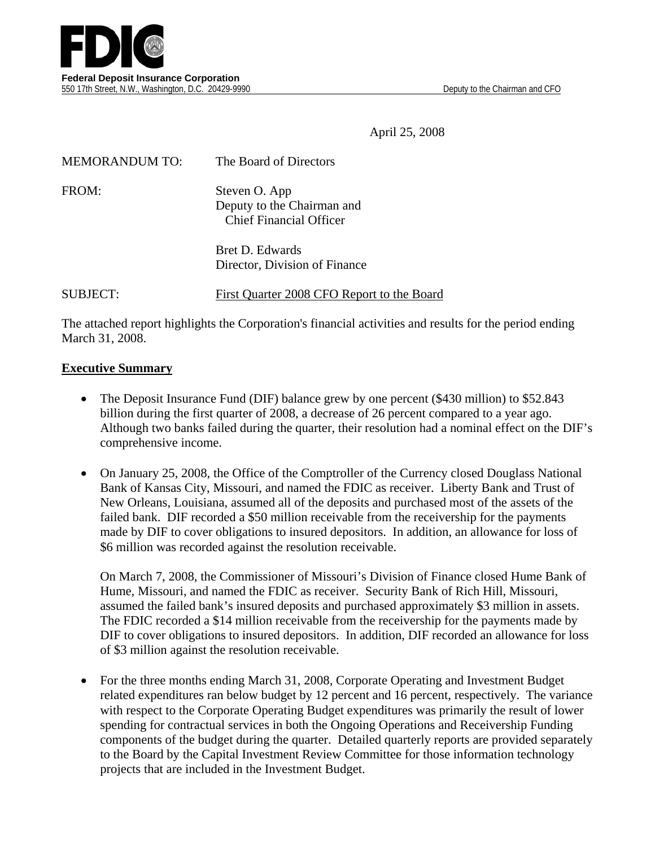



April 25, 2008

| <b>MEMORANDUM TO:</b> | The Board of Directors                                                        |
|-----------------------|-------------------------------------------------------------------------------|
| FROM:                 | Steven O. App<br>Deputy to the Chairman and<br><b>Chief Financial Officer</b> |
|                       | Bret D. Edwards<br>Director, Division of Finance                              |

SUBJECT: First Quarter 2008 CFO Report to the Board

The attached report highlights the Corporation's financial activities and results for the period ending March 31, 2008.

#### **Executive Summary**

- The Deposit Insurance Fund (DIF) balance grew by one percent (\$430 million) to \$52.843 billion during the first quarter of 2008, a decrease of 26 percent compared to a year ago. Although two banks failed during the quarter, their resolution had a nominal effect on the DIF's comprehensive income.
- On January 25, 2008, the Office of the Comptroller of the Currency closed Douglass National Bank of Kansas City, Missouri, and named the FDIC as receiver. Liberty Bank and Trust of New Orleans, Louisiana, assumed all of the deposits and purchased most of the assets of the failed bank. DIF recorded a \$50 million receivable from the receivership for the payments made by DIF to cover obligations to insured depositors. In addition, an allowance for loss of \$6 million was recorded against the resolution receivable.

On March 7, 2008, the Commissioner of Missouri's Division of Finance closed Hume Bank of Hume, Missouri, and named the FDIC as receiver. Security Bank of Rich Hill, Missouri, assumed the failed bank's insured deposits and purchased approximately \$3 million in assets. The FDIC recorded a \$14 million receivable from the receivership for the payments made by DIF to cover obligations to insured depositors. In addition, DIF recorded an allowance for loss of \$3 million against the resolution receivable.

• For the three months ending March 31, 2008, Corporate Operating and Investment Budget related expenditures ran below budget by 12 percent and 16 percent, respectively. The variance with respect to the Corporate Operating Budget expenditures was primarily the result of lower spending for contractual services in both the Ongoing Operations and Receivership Funding components of the budget during the quarter. Detailed quarterly reports are provided separately to the Board by the Capital Investment Review Committee for those information technology projects that are included in the Investment Budget.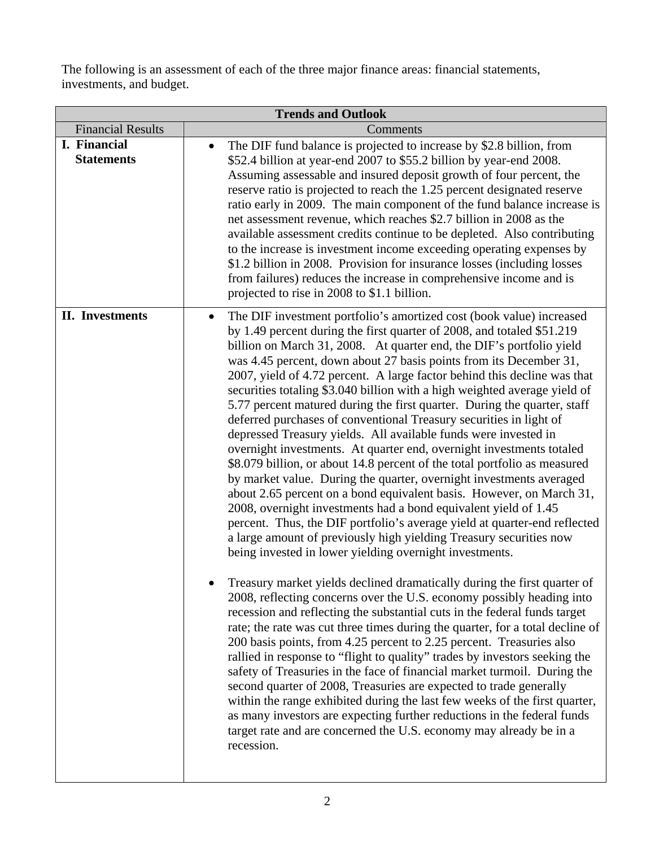The following is an assessment of each of the three major finance areas: financial statements, investments, and budget.

|                                   | <b>Trends and Outlook</b>                                                                                                                                                                                                                                                                                                                                                                                                                                                                                                                                                                                                                                                                                                                                                                                                                                                                                                                                                                                                                                                                                                                                                                                                                                                                                                                                                                                                                                                                                                                                                                                                                                                                                                                                                                                                                                                                                                                                                                                                                                                                                                               |  |  |  |  |  |
|-----------------------------------|-----------------------------------------------------------------------------------------------------------------------------------------------------------------------------------------------------------------------------------------------------------------------------------------------------------------------------------------------------------------------------------------------------------------------------------------------------------------------------------------------------------------------------------------------------------------------------------------------------------------------------------------------------------------------------------------------------------------------------------------------------------------------------------------------------------------------------------------------------------------------------------------------------------------------------------------------------------------------------------------------------------------------------------------------------------------------------------------------------------------------------------------------------------------------------------------------------------------------------------------------------------------------------------------------------------------------------------------------------------------------------------------------------------------------------------------------------------------------------------------------------------------------------------------------------------------------------------------------------------------------------------------------------------------------------------------------------------------------------------------------------------------------------------------------------------------------------------------------------------------------------------------------------------------------------------------------------------------------------------------------------------------------------------------------------------------------------------------------------------------------------------------|--|--|--|--|--|
| <b>Financial Results</b>          | Comments                                                                                                                                                                                                                                                                                                                                                                                                                                                                                                                                                                                                                                                                                                                                                                                                                                                                                                                                                                                                                                                                                                                                                                                                                                                                                                                                                                                                                                                                                                                                                                                                                                                                                                                                                                                                                                                                                                                                                                                                                                                                                                                                |  |  |  |  |  |
| I. Financial<br><b>Statements</b> | The DIF fund balance is projected to increase by \$2.8 billion, from<br>$\bullet$<br>\$52.4 billion at year-end 2007 to \$55.2 billion by year-end 2008.<br>Assuming assessable and insured deposit growth of four percent, the<br>reserve ratio is projected to reach the 1.25 percent designated reserve<br>ratio early in 2009. The main component of the fund balance increase is<br>net assessment revenue, which reaches \$2.7 billion in 2008 as the<br>available assessment credits continue to be depleted. Also contributing<br>to the increase is investment income exceeding operating expenses by<br>\$1.2 billion in 2008. Provision for insurance losses (including losses<br>from failures) reduces the increase in comprehensive income and is<br>projected to rise in 2008 to \$1.1 billion.                                                                                                                                                                                                                                                                                                                                                                                                                                                                                                                                                                                                                                                                                                                                                                                                                                                                                                                                                                                                                                                                                                                                                                                                                                                                                                                          |  |  |  |  |  |
| <b>II.</b> Investments            | The DIF investment portfolio's amortized cost (book value) increased<br>by 1.49 percent during the first quarter of 2008, and totaled \$51.219<br>billion on March 31, 2008. At quarter end, the DIF's portfolio yield<br>was 4.45 percent, down about 27 basis points from its December 31,<br>2007, yield of 4.72 percent. A large factor behind this decline was that<br>securities totaling \$3.040 billion with a high weighted average yield of<br>5.77 percent matured during the first quarter. During the quarter, staff<br>deferred purchases of conventional Treasury securities in light of<br>depressed Treasury yields. All available funds were invested in<br>overnight investments. At quarter end, overnight investments totaled<br>\$8.079 billion, or about 14.8 percent of the total portfolio as measured<br>by market value. During the quarter, overnight investments averaged<br>about 2.65 percent on a bond equivalent basis. However, on March 31,<br>2008, overnight investments had a bond equivalent yield of 1.45<br>percent. Thus, the DIF portfolio's average yield at quarter-end reflected<br>a large amount of previously high yielding Treasury securities now<br>being invested in lower yielding overnight investments.<br>Treasury market yields declined dramatically during the first quarter of<br>2008, reflecting concerns over the U.S. economy possibly heading into<br>recession and reflecting the substantial cuts in the federal funds target<br>rate; the rate was cut three times during the quarter, for a total decline of<br>200 basis points, from 4.25 percent to 2.25 percent. Treasuries also<br>rallied in response to "flight to quality" trades by investors seeking the<br>safety of Treasuries in the face of financial market turmoil. During the<br>second quarter of 2008, Treasuries are expected to trade generally<br>within the range exhibited during the last few weeks of the first quarter,<br>as many investors are expecting further reductions in the federal funds<br>target rate and are concerned the U.S. economy may already be in a<br>recession. |  |  |  |  |  |

 $\mathbf l$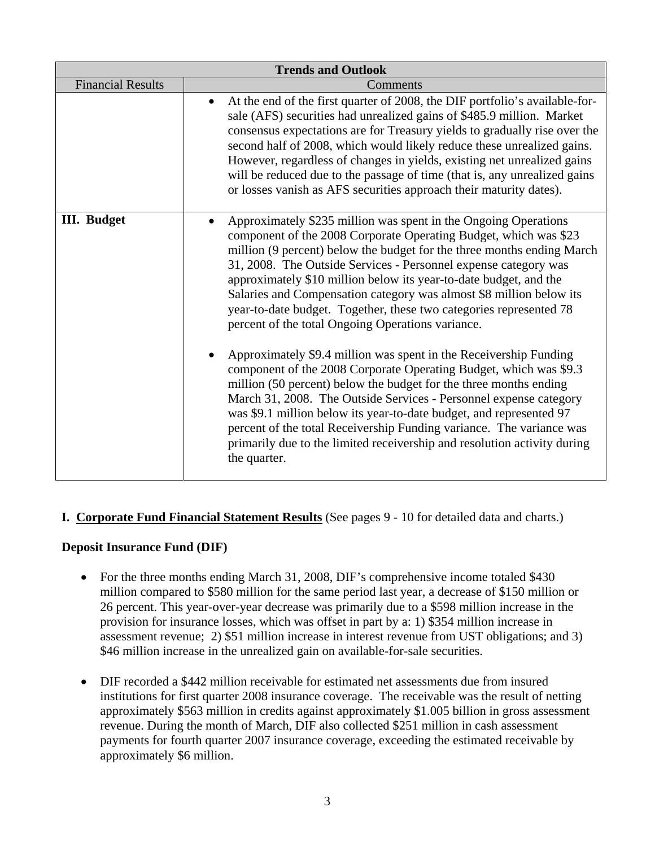|                          | <b>Trends and Outlook</b>                                                                                                                                                                                                                                                                                                                                                                                                                                                                                                                                                                                                                                                                                                                                                                                                                                                                                          |  |  |  |  |  |
|--------------------------|--------------------------------------------------------------------------------------------------------------------------------------------------------------------------------------------------------------------------------------------------------------------------------------------------------------------------------------------------------------------------------------------------------------------------------------------------------------------------------------------------------------------------------------------------------------------------------------------------------------------------------------------------------------------------------------------------------------------------------------------------------------------------------------------------------------------------------------------------------------------------------------------------------------------|--|--|--|--|--|
| <b>Financial Results</b> | Comments                                                                                                                                                                                                                                                                                                                                                                                                                                                                                                                                                                                                                                                                                                                                                                                                                                                                                                           |  |  |  |  |  |
|                          | At the end of the first quarter of 2008, the DIF portfolio's available-for-<br>sale (AFS) securities had unrealized gains of \$485.9 million. Market<br>consensus expectations are for Treasury yields to gradually rise over the<br>second half of 2008, which would likely reduce these unrealized gains.<br>However, regardless of changes in yields, existing net unrealized gains<br>will be reduced due to the passage of time (that is, any unrealized gains<br>or losses vanish as AFS securities approach their maturity dates).                                                                                                                                                                                                                                                                                                                                                                          |  |  |  |  |  |
| <b>III.</b> Budget       | Approximately \$235 million was spent in the Ongoing Operations<br>component of the 2008 Corporate Operating Budget, which was \$23<br>million (9 percent) below the budget for the three months ending March<br>31, 2008. The Outside Services - Personnel expense category was<br>approximately \$10 million below its year-to-date budget, and the<br>Salaries and Compensation category was almost \$8 million below its<br>year-to-date budget. Together, these two categories represented 78<br>percent of the total Ongoing Operations variance.<br>Approximately \$9.4 million was spent in the Receivership Funding<br>component of the 2008 Corporate Operating Budget, which was \$9.3<br>million (50 percent) below the budget for the three months ending<br>March 31, 2008. The Outside Services - Personnel expense category<br>was \$9.1 million below its year-to-date budget, and represented 97 |  |  |  |  |  |
|                          | percent of the total Receivership Funding variance. The variance was<br>primarily due to the limited receivership and resolution activity during<br>the quarter.                                                                                                                                                                                                                                                                                                                                                                                                                                                                                                                                                                                                                                                                                                                                                   |  |  |  |  |  |

#### **I. Corporate Fund Financial Statement Results** (See pages 9 - 10 for detailed data and charts.)

#### **Deposit Insurance Fund (DIF)**

- For the three months ending March 31, 2008, DIF's comprehensive income totaled \$430 million compared to \$580 million for the same period last year, a decrease of \$150 million or 26 percent. This year-over-year decrease was primarily due to a \$598 million increase in the provision for insurance losses, which was offset in part by a: 1) \$354 million increase in assessment revenue; 2) \$51 million increase in interest revenue from UST obligations; and 3) \$46 million increase in the unrealized gain on available-for-sale securities.
- DIF recorded a \$442 million receivable for estimated net assessments due from insured institutions for first quarter 2008 insurance coverage. The receivable was the result of netting approximately \$563 million in credits against approximately \$1.005 billion in gross assessment revenue. During the month of March, DIF also collected \$251 million in cash assessment payments for fourth quarter 2007 insurance coverage, exceeding the estimated receivable by approximately \$6 million.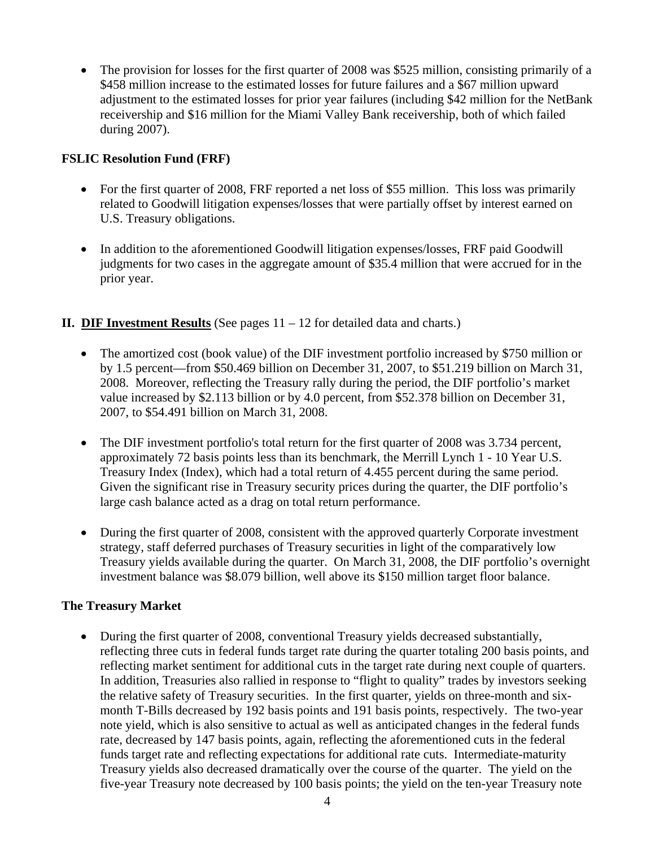• The provision for losses for the first quarter of 2008 was \$525 million, consisting primarily of a \$458 million increase to the estimated losses for future failures and a \$67 million upward adjustment to the estimated losses for prior year failures (including \$42 million for the NetBank receivership and \$16 million for the Miami Valley Bank receivership, both of which failed during 2007).

#### **FSLIC Resolution Fund (FRF)**

- For the first quarter of 2008, FRF reported a net loss of \$55 million. This loss was primarily related to Goodwill litigation expenses/losses that were partially offset by interest earned on U.S. Treasury obligations.
- In addition to the aforementioned Goodwill litigation expenses/losses, FRF paid Goodwill judgments for two cases in the aggregate amount of \$35.4 million that were accrued for in the prior year.

#### **II.** DIF Investment Results (See pages  $11 - 12$  for detailed data and charts.)

- The amortized cost (book value) of the DIF investment portfolio increased by \$750 million or by 1.5 percent—from \$50.469 billion on December 31, 2007, to \$51.219 billion on March 31, 2008. Moreover, reflecting the Treasury rally during the period, the DIF portfolio's market value increased by \$2.113 billion or by 4.0 percent, from \$52.378 billion on December 31, 2007, to \$54.491 billion on March 31, 2008.
- The DIF investment portfolio's total return for the first quarter of 2008 was 3.734 percent, approximately 72 basis points less than its benchmark, the Merrill Lynch 1 - 10 Year U.S. Treasury Index (Index), which had a total return of 4.455 percent during the same period. Given the significant rise in Treasury security prices during the quarter, the DIF portfolio's large cash balance acted as a drag on total return performance.
- During the first quarter of 2008, consistent with the approved quarterly Corporate investment strategy, staff deferred purchases of Treasury securities in light of the comparatively low Treasury yields available during the quarter. On March 31, 2008, the DIF portfolio's overnight investment balance was \$8.079 billion, well above its \$150 million target floor balance.

#### **The Treasury Market**

• During the first quarter of 2008, conventional Treasury yields decreased substantially, reflecting three cuts in federal funds target rate during the quarter totaling 200 basis points, and reflecting market sentiment for additional cuts in the target rate during next couple of quarters. In addition, Treasuries also rallied in response to "flight to quality" trades by investors seeking the relative safety of Treasury securities. In the first quarter, yields on three-month and sixmonth T-Bills decreased by 192 basis points and 191 basis points, respectively. The two-year note yield, which is also sensitive to actual as well as anticipated changes in the federal funds rate, decreased by 147 basis points, again, reflecting the aforementioned cuts in the federal funds target rate and reflecting expectations for additional rate cuts. Intermediate-maturity Treasury yields also decreased dramatically over the course of the quarter. The yield on the five-year Treasury note decreased by 100 basis points; the yield on the ten-year Treasury note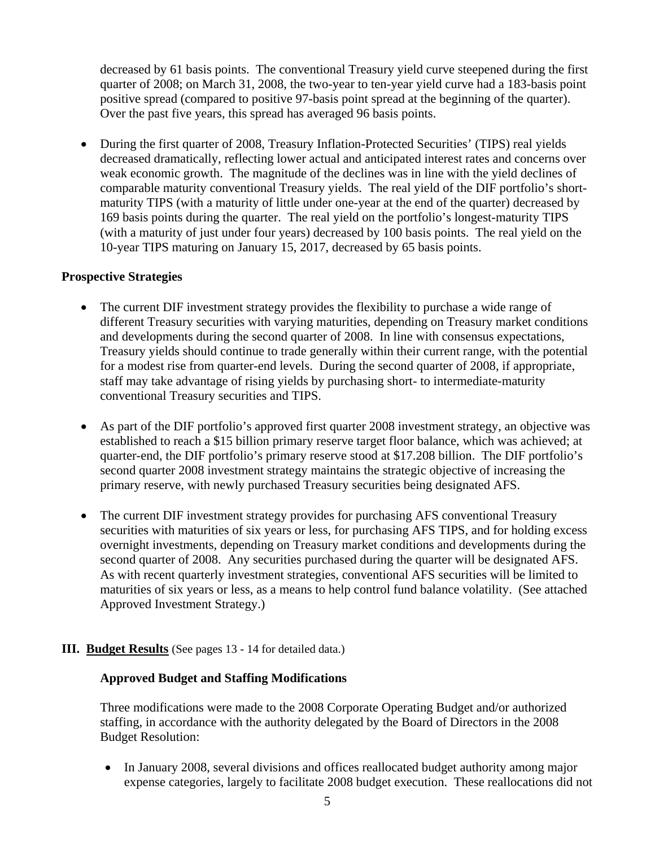decreased by 61 basis points. The conventional Treasury yield curve steepened during the first quarter of 2008; on March 31, 2008, the two-year to ten-year yield curve had a 183-basis point positive spread (compared to positive 97-basis point spread at the beginning of the quarter). Over the past five years, this spread has averaged 96 basis points.

• During the first quarter of 2008, Treasury Inflation-Protected Securities' (TIPS) real yields decreased dramatically, reflecting lower actual and anticipated interest rates and concerns over weak economic growth. The magnitude of the declines was in line with the yield declines of comparable maturity conventional Treasury yields. The real yield of the DIF portfolio's shortmaturity TIPS (with a maturity of little under one-year at the end of the quarter) decreased by 169 basis points during the quarter. The real yield on the portfolio's longest-maturity TIPS (with a maturity of just under four years) decreased by 100 basis points. The real yield on the 10-year TIPS maturing on January 15, 2017, decreased by 65 basis points.

#### **Prospective Strategies**

- The current DIF investment strategy provides the flexibility to purchase a wide range of different Treasury securities with varying maturities, depending on Treasury market conditions and developments during the second quarter of 2008. In line with consensus expectations, Treasury yields should continue to trade generally within their current range, with the potential for a modest rise from quarter-end levels. During the second quarter of 2008, if appropriate, staff may take advantage of rising yields by purchasing short- to intermediate-maturity conventional Treasury securities and TIPS.
- As part of the DIF portfolio's approved first quarter 2008 investment strategy, an objective was established to reach a \$15 billion primary reserve target floor balance, which was achieved; at quarter-end, the DIF portfolio's primary reserve stood at \$17.208 billion. The DIF portfolio's second quarter 2008 investment strategy maintains the strategic objective of increasing the primary reserve, with newly purchased Treasury securities being designated AFS.
- The current DIF investment strategy provides for purchasing AFS conventional Treasury securities with maturities of six years or less, for purchasing AFS TIPS, and for holding excess overnight investments, depending on Treasury market conditions and developments during the second quarter of 2008. Any securities purchased during the quarter will be designated AFS. As with recent quarterly investment strategies, conventional AFS securities will be limited to maturities of six years or less, as a means to help control fund balance volatility. (See attached Approved Investment Strategy.)

#### **III. Budget Results** (See pages 13 - 14 for detailed data.)

#### **Approved Budget and Staffing Modifications**

Three modifications were made to the 2008 Corporate Operating Budget and/or authorized staffing, in accordance with the authority delegated by the Board of Directors in the 2008 Budget Resolution:

• In January 2008, several divisions and offices reallocated budget authority among major expense categories, largely to facilitate 2008 budget execution. These reallocations did not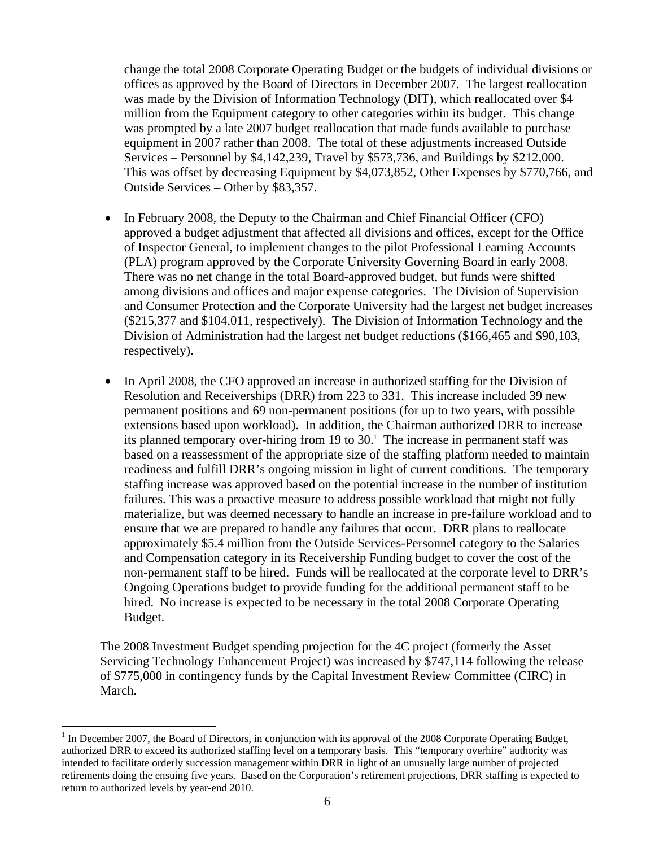change the total 2008 Corporate Operating Budget or the budgets of individual divisions or offices as approved by the Board of Directors in December 2007. The largest reallocation was made by the Division of Information Technology (DIT), which reallocated over \$4 million from the Equipment category to other categories within its budget. This change was prompted by a late 2007 budget reallocation that made funds available to purchase equipment in 2007 rather than 2008. The total of these adjustments increased Outside Services – Personnel by \$4,142,239, Travel by \$573,736, and Buildings by \$212,000. This was offset by decreasing Equipment by \$4,073,852, Other Expenses by \$770,766, and Outside Services – Other by \$83,357.

- In February 2008, the Deputy to the Chairman and Chief Financial Officer (CFO) approved a budget adjustment that affected all divisions and offices, except for the Office of Inspector General, to implement changes to the pilot Professional Learning Accounts (PLA) program approved by the Corporate University Governing Board in early 2008. There was no net change in the total Board-approved budget, but funds were shifted among divisions and offices and major expense categories. The Division of Supervision and Consumer Protection and the Corporate University had the largest net budget increases (\$215,377 and \$104,011, respectively). The Division of Information Technology and the Division of Administration had the largest net budget reductions (\$166,465 and \$90,103, respectively).
- In April 2008, the CFO approved an increase in authorized staffing for the Division of Resolution and Receiverships (DRR) from 223 to 331. This increase included 39 new permanent positions and 69 non-permanent positions (for up to two years, with possible extensions based upon workload). In addition, the Chairman authorized DRR to increase its planned temporary over-hiring from  $19$  to  $30<sup>1</sup>$ . The increase in permanent staff was based on a reassessment of the appropriate size of the staffing platform needed to maintain readiness and fulfill DRR's ongoing mission in light of current conditions. The temporary staffing increase was approved based on the potential increase in the number of institution failures. This was a proactive measure to address possible workload that might not fully materialize, but was deemed necessary to handle an increase in pre-failure workload and to ensure that we are prepared to handle any failures that occur. DRR plans to reallocate approximately \$5.4 million from the Outside Services-Personnel category to the Salaries and Compensation category in its Receivership Funding budget to cover the cost of the non-permanent staff to be hired. Funds will be reallocated at the corporate level to DRR's Ongoing Operations budget to provide funding for the additional permanent staff to be hired. No increase is expected to be necessary in the total 2008 Corporate Operating Budget.

The 2008 Investment Budget spending projection for the 4C project (formerly the Asset Servicing Technology Enhancement Project) was increased by \$747,114 following the release of \$775,000 in contingency funds by the Capital Investment Review Committee (CIRC) in March.

 $\overline{a}$ 

<sup>&</sup>lt;sup>1</sup> In December 2007, the Board of Directors, in conjunction with its approval of the 2008 Corporate Operating Budget, authorized DRR to exceed its authorized staffing level on a temporary basis. This "temporary overhire" authority was intended to facilitate orderly succession management within DRR in light of an unusually large number of projected retirements doing the ensuing five years. Based on the Corporation's retirement projections, DRR staffing is expected to return to authorized levels by year-end 2010.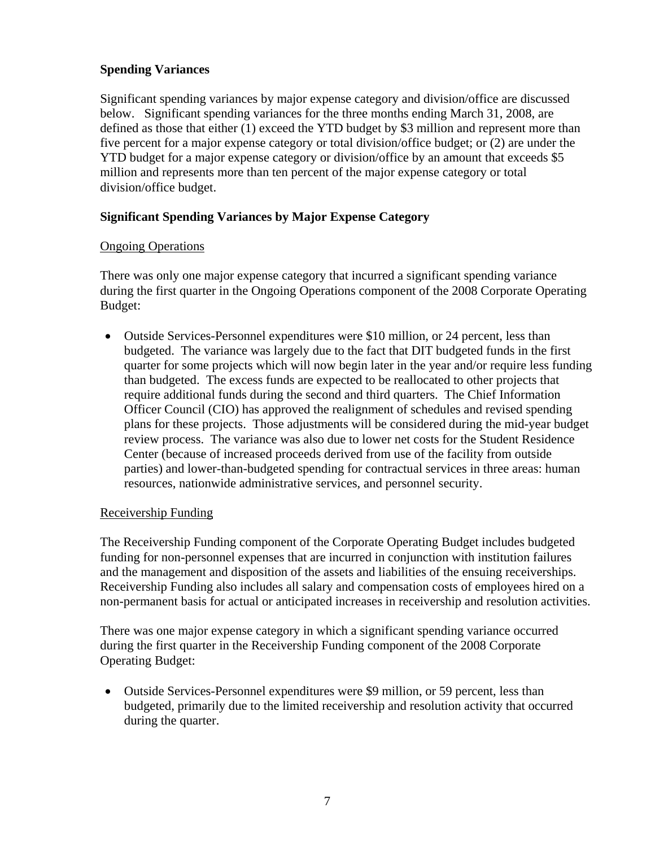#### **Spending Variances**

Significant spending variances by major expense category and division/office are discussed below. Significant spending variances for the three months ending March 31, 2008, are defined as those that either (1) exceed the YTD budget by \$3 million and represent more than five percent for a major expense category or total division/office budget; or (2) are under the YTD budget for a major expense category or division/office by an amount that exceeds \$5 million and represents more than ten percent of the major expense category or total division/office budget.

#### **Significant Spending Variances by Major Expense Category**

#### Ongoing Operations

There was only one major expense category that incurred a significant spending variance during the first quarter in the Ongoing Operations component of the 2008 Corporate Operating Budget:

• Outside Services-Personnel expenditures were \$10 million, or 24 percent, less than budgeted. The variance was largely due to the fact that DIT budgeted funds in the first quarter for some projects which will now begin later in the year and/or require less funding than budgeted. The excess funds are expected to be reallocated to other projects that require additional funds during the second and third quarters. The Chief Information Officer Council (CIO) has approved the realignment of schedules and revised spending plans for these projects. Those adjustments will be considered during the mid-year budget review process. The variance was also due to lower net costs for the Student Residence Center (because of increased proceeds derived from use of the facility from outside parties) and lower-than-budgeted spending for contractual services in three areas: human resources, nationwide administrative services, and personnel security.

#### Receivership Funding

The Receivership Funding component of the Corporate Operating Budget includes budgeted funding for non-personnel expenses that are incurred in conjunction with institution failures and the management and disposition of the assets and liabilities of the ensuing receiverships. Receivership Funding also includes all salary and compensation costs of employees hired on a non-permanent basis for actual or anticipated increases in receivership and resolution activities.

There was one major expense category in which a significant spending variance occurred during the first quarter in the Receivership Funding component of the 2008 Corporate Operating Budget:

• Outside Services-Personnel expenditures were \$9 million, or 59 percent, less than budgeted, primarily due to the limited receivership and resolution activity that occurred during the quarter.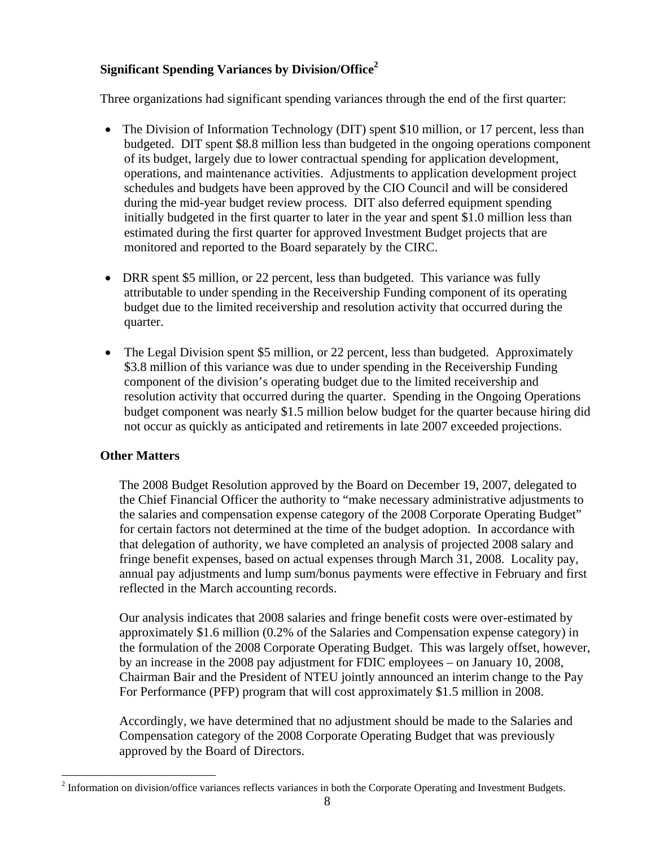### **Significant Spending Variances by Division/Office<sup>2</sup>**

Three organizations had significant spending variances through the end of the first quarter:

- The Division of Information Technology (DIT) spent \$10 million, or 17 percent, less than budgeted. DIT spent \$8.8 million less than budgeted in the ongoing operations component of its budget, largely due to lower contractual spending for application development, operations, and maintenance activities. Adjustments to application development project schedules and budgets have been approved by the CIO Council and will be considered during the mid-year budget review process. DIT also deferred equipment spending initially budgeted in the first quarter to later in the year and spent \$1.0 million less than estimated during the first quarter for approved Investment Budget projects that are monitored and reported to the Board separately by the CIRC.
- DRR spent \$5 million, or 22 percent, less than budgeted. This variance was fully attributable to under spending in the Receivership Funding component of its operating budget due to the limited receivership and resolution activity that occurred during the quarter.
- The Legal Division spent \$5 million, or 22 percent, less than budgeted. Approximately \$3.8 million of this variance was due to under spending in the Receivership Funding component of the division's operating budget due to the limited receivership and resolution activity that occurred during the quarter. Spending in the Ongoing Operations budget component was nearly \$1.5 million below budget for the quarter because hiring did not occur as quickly as anticipated and retirements in late 2007 exceeded projections.

#### **Other Matters**

The 2008 Budget Resolution approved by the Board on December 19, 2007, delegated to the Chief Financial Officer the authority to "make necessary administrative adjustments to the salaries and compensation expense category of the 2008 Corporate Operating Budget" for certain factors not determined at the time of the budget adoption. In accordance with that delegation of authority, we have completed an analysis of projected 2008 salary and fringe benefit expenses, based on actual expenses through March 31, 2008. Locality pay, annual pay adjustments and lump sum/bonus payments were effective in February and first reflected in the March accounting records.

Our analysis indicates that 2008 salaries and fringe benefit costs were over-estimated by approximately \$1.6 million (0.2% of the Salaries and Compensation expense category) in the formulation of the 2008 Corporate Operating Budget. This was largely offset, however, by an increase in the 2008 pay adjustment for FDIC employees – on January 10, 2008, Chairman Bair and the President of NTEU jointly announced an interim change to the Pay For Performance (PFP) program that will cost approximately \$1.5 million in 2008.

Accordingly, we have determined that no adjustment should be made to the Salaries and Compensation category of the 2008 Corporate Operating Budget that was previously approved by the Board of Directors.

 $\overline{a}$  $2$  Information on division/office variances reflects variances in both the Corporate Operating and Investment Budgets.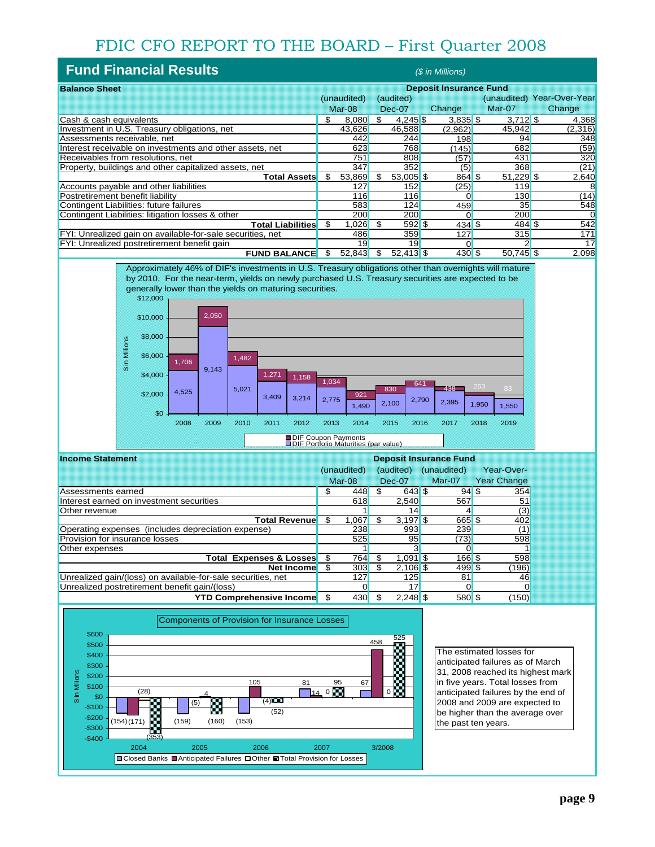## FDIC CFO REPORT TO THE BOARD – First Quarter 2008

| <b>Fund Financial Results</b>                              |                               |             |     |             | (\$ in Millions) |             |                            |
|------------------------------------------------------------|-------------------------------|-------------|-----|-------------|------------------|-------------|----------------------------|
| <b>Balance Sheet</b>                                       | <b>Deposit Insurance Fund</b> |             |     |             |                  |             |                            |
|                                                            |                               | (unaudited) |     | (audited)   |                  |             | (unaudited) Year-Over-Year |
|                                                            |                               | Mar-08      |     | Dec-07      | Change           | Mar-07      | Change                     |
| Cash & cash equivalents                                    | \$                            | 8.080       | \$  | $4,245$ \$  | $3,835$ \$       | $3,712$ \$  | 4,368                      |
| Investment in U.S. Treasury obligations, net               |                               | 43.626      |     | 46,588      | (2,962)          | 45,942      | (2,316)                    |
| Assessments receivable, net                                |                               | 442         |     | 244         | 198              | 94          | 348                        |
| Interest receivable on investments and other assets, net   |                               | 623         |     | 768         | (145)            | 682         | (59)                       |
| Receivables from resolutions, net                          |                               | 751         |     | 808         | (57)             | 431         | 320                        |
| Property, buildings and other capitalized assets, net      |                               | 347         |     | 352         | (5)              | 368         | (21)                       |
| <b>Total Assets</b>                                        | \$                            | 53,869      | \$  | $53,005$ \$ | $864$ \$         | $51,229$ \$ | 2,640                      |
| Accounts payable and other liabilities                     |                               | 127         |     | 152         | (25)             | 119         |                            |
| Postretirement benefit liability                           |                               | 116         |     | 116         |                  | 130         | (14)                       |
| Contingent Liabilities: future failures                    |                               | 583         |     | 124         | 459              | 35          | 548                        |
| Contingent Liabilities: litigation losses & other          |                               | 200         |     | 200         |                  | 200         |                            |
| <b>Total Liabilities</b>                                   | S                             | 1,026       | \$. | $592$ \$    | $434$ \$         | $484$ \$    | 542                        |
| FYI: Unrealized gain on available-for-sale securities, net |                               | 486         |     | 359         | 127              | 315         | 171                        |
| FYI: Unrealized postretirement benefit gain                |                               | 19          |     | 19          |                  |             | 17                         |
| <b>FUND BALANCE</b>                                        | S                             | 52,843      | S   | $52,413$ \$ | $430$ \$         | $50,745$ \$ | 2,098                      |



| <b>Income Statement</b>                                      | <b>Deposit Insurance Fund</b> |             |           |            |             |                    |
|--------------------------------------------------------------|-------------------------------|-------------|-----------|------------|-------------|--------------------|
|                                                              |                               | (unaudited) | (audited) |            | (unaudited) | Year-Over-         |
|                                                              |                               | $Mar-08$    | $Dec-07$  |            | Mar-07      | <b>Year Change</b> |
| Assessments earned                                           | \$.                           | 448         |           | 643 \$     | 94S         | 354                |
| Interest earned on investment securities                     |                               | 618         |           | 2.540      | 567         | 51                 |
| Other revenue                                                |                               |             |           | 14         |             | (3)                |
| <b>Total Revenue</b>                                         | S                             | 1.067       |           | $3,197$ \$ | 665 \$      | 402                |
| Operating expenses (includes depreciation expense)           |                               | 238         |           | 993        | 239         | (1)                |
| Provision for insurance losses                               |                               | 525         |           | 95         | (73)        | 598                |
| Other expenses                                               |                               |             |           |            |             |                    |
| <b>Total Expenses &amp; Losses</b>                           | \$                            | 764         |           | $1.091$ \$ | 166S        | 598                |
| Net Income                                                   | S                             | 303         |           | $2,106$ \$ | 499 \$      | (196)              |
| Unrealized gain/(loss) on available-for-sale securities, net |                               | 127         |           | 125        | 81          | 46                 |
| Unrealized postretirement benefit gain/(loss)                |                               |             |           |            |             |                    |
| <b>YTD Comprehensive Income</b>                              | \$                            | 430         | \$.       | $2.248$ \$ | 580 \$      | (150)              |



The estimated losses for anticipated failures as of March 31, 2008 reached its highest mark in five years. Total losses from anticipated failures by the end of 2008 and 2009 are expected to be higher than the average over the past ten years.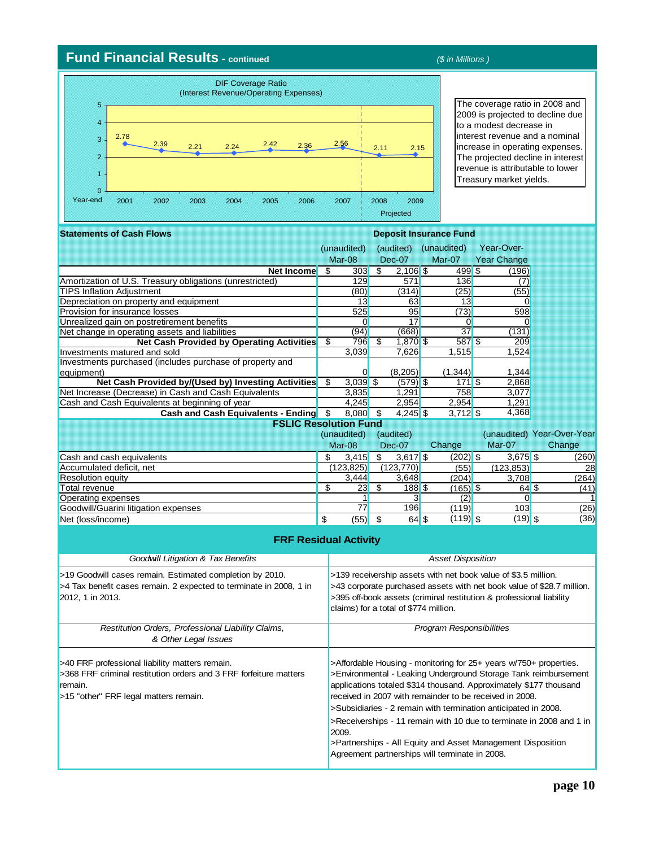## **Fund Financial Results - continued** *(\$ in Millions )*

| 5                                          |      |      | (Interest Revenue/Operating Expenses) | <b>DIF Coverage Ratio</b> |      |      |      |      |      |
|--------------------------------------------|------|------|---------------------------------------|---------------------------|------|------|------|------|------|
| $\overline{4}$<br>3<br>$\overline{2}$<br>1 | 2.78 | 2.39 | 2.21                                  | 2.24                      | 2.42 | 2.36 | 2.56 | 2.11 | 2.15 |
| $\Omega$<br>Year-end                       | 2001 | 2002 | 2003                                  | 2004                      | 2005 | 2006 | 2007 | 2008 | 2009 |

The coverage ratio in 2008 and 2009 is projected to decline due to a modest decrease in interest revenue and a nominal increase in operating expenses. The projected decline in interest revenue is attributable to lower Treasury market yields.

| <b>Statements of Cash Flows</b><br><b>Deposit Insurance Fund</b>   |    |                                                                                                                                      |    |            |                                                |      |                                                                   |                                                                       |  |
|--------------------------------------------------------------------|----|--------------------------------------------------------------------------------------------------------------------------------------|----|------------|------------------------------------------------|------|-------------------------------------------------------------------|-----------------------------------------------------------------------|--|
|                                                                    |    | (unaudited)                                                                                                                          |    | (audited)  | (unaudited)                                    |      | Year-Over-                                                        |                                                                       |  |
|                                                                    |    | Mar-08                                                                                                                               |    | $Dec-07$   | Mar-07                                         |      | <b>Year Change</b>                                                |                                                                       |  |
| Net Income                                                         | \$ | 303                                                                                                                                  | \$ | $2,106$ \$ | 499S                                           |      | (196)                                                             |                                                                       |  |
| Amortization of U.S. Treasury obligations (unrestricted)           |    | 129                                                                                                                                  |    | 571        | 136                                            |      | (7)                                                               |                                                                       |  |
| <b>TIPS Inflation Adjustment</b>                                   |    | (80)                                                                                                                                 |    | (314)      | (25)                                           |      | (55)                                                              |                                                                       |  |
| Depreciation on property and equipment                             |    | 13                                                                                                                                   |    | 63         | 13                                             |      | $\mathbf 0$                                                       |                                                                       |  |
| Provision for insurance losses                                     |    | 525                                                                                                                                  |    | 95         | (73)                                           |      | 598                                                               |                                                                       |  |
| Unrealized gain on postretirement benefits                         |    | $\overline{0}$                                                                                                                       |    | 17         | $\overline{0}$                                 |      | 0                                                                 |                                                                       |  |
| Net change in operating assets and liabilities                     |    | (94)                                                                                                                                 |    | (668)      | $\overline{37}$                                |      | (131)                                                             |                                                                       |  |
| <b>Net Cash Provided by Operating Activities</b>                   | \$ | 796                                                                                                                                  | \$ | 1,870 \$   | 587 \$                                         |      | 209                                                               |                                                                       |  |
| Investments matured and sold                                       |    | 3,039                                                                                                                                |    | 7,626      | 1,515                                          |      | 1,524                                                             |                                                                       |  |
| Investments purchased (includes purchase of property and           |    |                                                                                                                                      |    |            |                                                |      |                                                                   |                                                                       |  |
| equipment)                                                         |    | $\overline{0}$                                                                                                                       |    | (8,205)    | (1, 344)                                       |      | 1,344                                                             |                                                                       |  |
| Net Cash Provided by/(Used by) Investing Activities                | \$ | $3,039$ \$                                                                                                                           |    | $(579)$ \$ |                                                | 171S | 2,868                                                             |                                                                       |  |
| Net Increase (Decrease) in Cash and Cash Equivalents               |    | 3,835                                                                                                                                |    | 1,291      | 758                                            |      | 3,077                                                             |                                                                       |  |
| Cash and Cash Equivalents at beginning of year                     |    | 4.245                                                                                                                                |    | 2.954      | 2.954                                          |      | 1.291                                                             |                                                                       |  |
| Cash and Cash Equivalents - Ending \$                              |    | $8,080$ \$                                                                                                                           |    | $4,245$ \$ | $3,712$ \$                                     |      | 4,368                                                             |                                                                       |  |
| <b>FSLIC Resolution Fund</b>                                       |    |                                                                                                                                      |    |            |                                                |      |                                                                   |                                                                       |  |
|                                                                    |    | (unaudited)                                                                                                                          |    | (audited)  |                                                |      |                                                                   | (unaudited) Year-Over-Year                                            |  |
|                                                                    |    | Mar-08                                                                                                                               |    | Dec-07     | Change                                         |      | Mar-07                                                            | Change                                                                |  |
| Cash and cash equivalents                                          | \$ | 3,415                                                                                                                                | \$ | $3,617$ \$ | $(202)$ \$                                     |      | $3,675$ \$                                                        | (260)                                                                 |  |
| Accumulated deficit, net                                           |    | (123, 825)                                                                                                                           |    | (123, 770) | (55)                                           |      | (123.853)                                                         | 28                                                                    |  |
| <b>Resolution equity</b>                                           |    | 3,444                                                                                                                                |    | 3,648      | (204)                                          |      | 3,708                                                             | (264)                                                                 |  |
| <b>Total revenue</b>                                               | \$ | 23                                                                                                                                   | \$ | 188S       | $(165)$ \$                                     |      | $64$ \$                                                           | (41)                                                                  |  |
| Operating expenses                                                 |    | 1                                                                                                                                    |    | 3          | (2)                                            |      | $\Omega$                                                          |                                                                       |  |
| Goodwill/Guarini litigation expenses                               |    | 77                                                                                                                                   |    | 196        | (119)                                          |      | 103                                                               | (26)                                                                  |  |
| Net (loss/income)                                                  | \$ | $(55)$ \$                                                                                                                            |    | $64$ \$    | $(119)$ \$                                     |      | $(19)$ \$                                                         | (36)                                                                  |  |
|                                                                    |    |                                                                                                                                      |    |            |                                                |      |                                                                   |                                                                       |  |
| <b>FRF Residual Activity</b>                                       |    |                                                                                                                                      |    |            |                                                |      |                                                                   |                                                                       |  |
| <b>Goodwill Litigation &amp; Tax Benefits</b>                      |    |                                                                                                                                      |    |            | <b>Asset Disposition</b>                       |      |                                                                   |                                                                       |  |
| >19 Goodwill cases remain. Estimated completion by 2010.           |    | >139 receivership assets with net book value of \$3.5 million.                                                                       |    |            |                                                |      |                                                                   |                                                                       |  |
| >4 Tax benefit cases remain. 2 expected to terminate in 2008, 1 in |    |                                                                                                                                      |    |            |                                                |      |                                                                   | >43 corporate purchased assets with net book value of \$28.7 million. |  |
| 2012, 1 in 2013.                                                   |    | >395 off-book assets (criminal restitution & professional liability                                                                  |    |            |                                                |      |                                                                   |                                                                       |  |
|                                                                    |    |                                                                                                                                      |    |            | claims) for a total of \$774 million.          |      |                                                                   |                                                                       |  |
|                                                                    |    |                                                                                                                                      |    |            |                                                |      |                                                                   |                                                                       |  |
| Restitution Orders, Professional Liability Claims,                 |    |                                                                                                                                      |    |            | <b>Program Responsibilities</b>                |      |                                                                   |                                                                       |  |
| & Other Legal Issues                                               |    |                                                                                                                                      |    |            |                                                |      |                                                                   |                                                                       |  |
|                                                                    |    |                                                                                                                                      |    |            |                                                |      |                                                                   |                                                                       |  |
| >40 FRF professional liability matters remain.                     |    |                                                                                                                                      |    |            |                                                |      |                                                                   |                                                                       |  |
| >368 FRF criminal restitution orders and 3 FRF forfeiture matters  |    | >Affordable Housing - monitoring for 25+ years w/750+ properties.<br>>Environmental - Leaking Underground Storage Tank reimbursement |    |            |                                                |      |                                                                   |                                                                       |  |
| remain.                                                            |    |                                                                                                                                      |    |            |                                                |      | applications totaled \$314 thousand. Approximately \$177 thousand |                                                                       |  |
|                                                                    |    |                                                                                                                                      |    |            |                                                |      | received in 2007 with remainder to be received in 2008.           |                                                                       |  |
| >15 "other" FRF legal matters remain.                              |    |                                                                                                                                      |    |            |                                                |      |                                                                   |                                                                       |  |
|                                                                    |    |                                                                                                                                      |    |            |                                                |      | >Subsidiaries - 2 remain with termination anticipated in 2008.    |                                                                       |  |
|                                                                    |    |                                                                                                                                      |    |            |                                                |      |                                                                   | >Receiverships - 11 remain with 10 due to terminate in 2008 and 1 in  |  |
|                                                                    |    | 2009.                                                                                                                                |    |            |                                                |      |                                                                   |                                                                       |  |
|                                                                    |    |                                                                                                                                      |    |            |                                                |      | >Partnerships - All Equity and Asset Management Disposition       |                                                                       |  |
|                                                                    |    |                                                                                                                                      |    |            | Agreement partnerships will terminate in 2008. |      |                                                                   |                                                                       |  |
|                                                                    |    |                                                                                                                                      |    |            |                                                |      |                                                                   |                                                                       |  |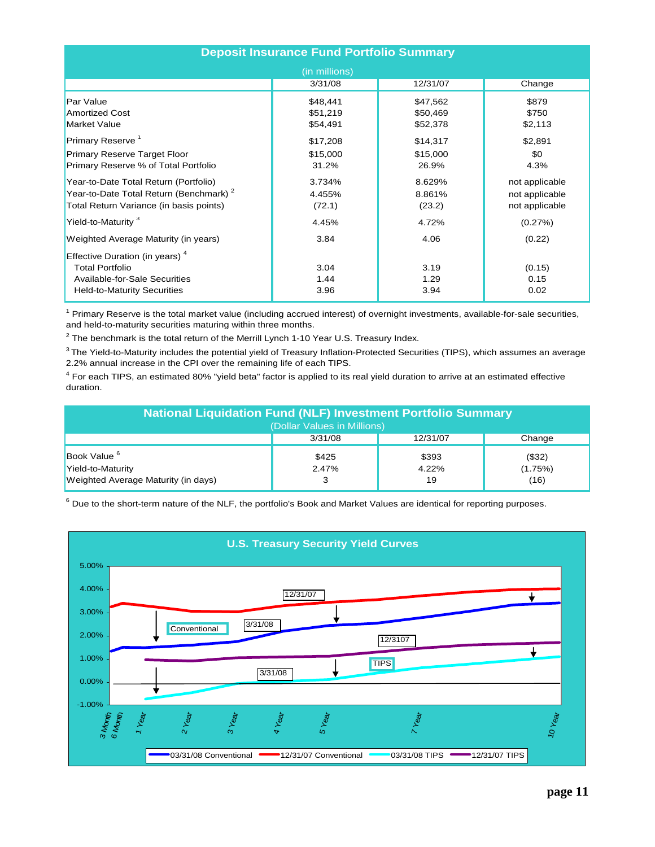| <b>Deposit Insurance Fund Portfolio Summary</b>                                                                                                    |                                  |                                  |                                                    |  |  |  |  |
|----------------------------------------------------------------------------------------------------------------------------------------------------|----------------------------------|----------------------------------|----------------------------------------------------|--|--|--|--|
|                                                                                                                                                    | (in millions)                    |                                  |                                                    |  |  |  |  |
|                                                                                                                                                    | 3/31/08                          | 12/31/07                         | Change                                             |  |  |  |  |
| Par Value<br><b>Amortized Cost</b><br><b>Market Value</b>                                                                                          | \$48,441<br>\$51,219<br>\$54,491 | \$47,562<br>\$50,469<br>\$52,378 | \$879<br>\$750<br>\$2,113                          |  |  |  |  |
| Primary Reserve <sup>1</sup>                                                                                                                       | \$17,208                         | \$14,317                         | \$2,891                                            |  |  |  |  |
| Primary Reserve Target Floor<br>Primary Reserve % of Total Portfolio                                                                               | \$15,000<br>31.2%                | \$15,000<br>26.9%                | \$0<br>4.3%                                        |  |  |  |  |
| Year-to-Date Total Return (Portfolio)<br>Year-to-Date Total Return (Benchmark) <sup>2</sup><br>Total Return Variance (in basis points)             | 3.734%<br>4.455%<br>(72.1)       | 8.629%<br>8.861%<br>(23.2)       | not applicable<br>not applicable<br>not applicable |  |  |  |  |
| Yield-to-Maturity <sup>3</sup>                                                                                                                     | 4.45%                            | 4.72%                            | (0.27%)                                            |  |  |  |  |
| Weighted Average Maturity (in years)                                                                                                               | 3.84                             | 4.06                             | (0.22)                                             |  |  |  |  |
| Effective Duration (in years) <sup>4</sup><br><b>Total Portfolio</b><br><b>Available-for-Sale Securities</b><br><b>Held-to-Maturity Securities</b> | 3.04<br>1.44<br>3.96             | 3.19<br>1.29<br>3.94             | (0.15)<br>0.15<br>0.02                             |  |  |  |  |

<sup>1</sup> Primary Reserve is the total market value (including accrued interest) of overnight investments, available-for-sale securities, and held-to-maturity securities maturing within three months.

 $^2$  The benchmark is the total return of the Merrill Lynch 1-10 Year U.S. Treasury Index.

<sup>3</sup> The Yield-to-Maturity includes the potential yield of Treasury Inflation-Protected Securities (TIPS), which assumes an average 2.2% annual increase in the CPI over the remaining life of each TIPS.

<sup>4</sup> For each TIPS, an estimated 80% "yield beta" factor is applied to its real yield duration to arrive at an estimated effective duration.

| <b>National Liquidation Fund (NLF) Investment Portfolio Summary</b><br>(Dollar Values in Millions) <sup>1</sup> |                |                      |                           |  |  |  |  |
|-----------------------------------------------------------------------------------------------------------------|----------------|----------------------|---------------------------|--|--|--|--|
|                                                                                                                 | 3/31/08        | 12/31/07             | Change                    |  |  |  |  |
| Book Value <sup>6</sup><br>Yield-to-Maturity<br>Weighted Average Maturity (in days)                             | \$425<br>2.47% | \$393<br>4.22%<br>19 | (\$32)<br>(1.75%)<br>(16) |  |  |  |  |

 $^6$  Due to the short-term nature of the NLF, the portfolio's Book and Market Values are identical for reporting purposes.

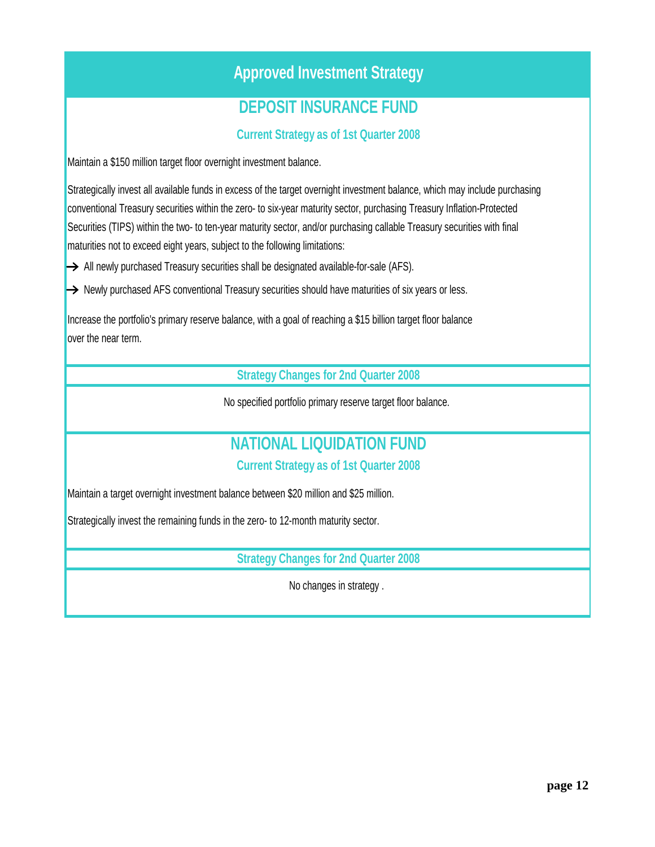## **Approved Investment Strategy**

## **DEPOSIT INSURANCE FUND**

**Current Strategy as of 1st Quarter 2008**

Maintain a \$150 million target floor overnight investment balance.

Strategically invest all available funds in excess of the target overnight investment balance, which may include purchasing conventional Treasury securities within the zero- to six-year maturity sector, purchasing Treasury Inflation-Protected Securities (TIPS) within the two- to ten-year maturity sector, and/or purchasing callable Treasury securities with final maturities not to exceed eight years, subject to the following limitations:

 $\rightarrow$  All newly purchased Treasury securities shall be designated available-for-sale (AFS).

 $\rightarrow$  Newly purchased AFS conventional Treasury securities should have maturities of six years or less.

Increase the portfolio's primary reserve balance, with a goal of reaching a \$15 billion target floor balance over the near term.

**Strategy Changes for 2nd Quarter 2008**

No specified portfolio primary reserve target floor balance.

# **NATIONAL LIQUIDATION FUND**

**Current Strategy as of 1st Quarter 2008**

Maintain a target overnight investment balance between \$20 million and \$25 million.

Strategically invest the remaining funds in the zero- to 12-month maturity sector.

**Strategy Changes for 2nd Quarter 2008**

No changes in strategy .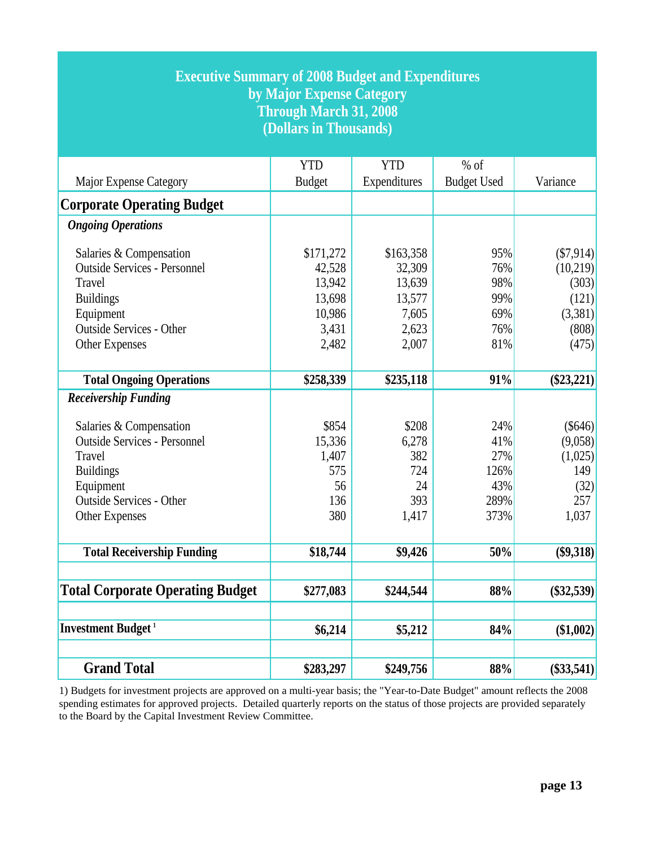| <b>Executive Summary of 2008 Budget and Expenditures</b><br>by Major Expense Category<br><b>Through March 31, 2008</b><br>(Dollars in Thousands)                                                                                 |                                                                                  |                                                                                 |                                                      |                                                                                        |  |  |  |  |
|----------------------------------------------------------------------------------------------------------------------------------------------------------------------------------------------------------------------------------|----------------------------------------------------------------------------------|---------------------------------------------------------------------------------|------------------------------------------------------|----------------------------------------------------------------------------------------|--|--|--|--|
|                                                                                                                                                                                                                                  | <b>YTD</b>                                                                       | <b>YTD</b>                                                                      | $%$ of                                               | Variance                                                                               |  |  |  |  |
| Major Expense Category                                                                                                                                                                                                           | <b>Budget</b>                                                                    | Expenditures                                                                    | <b>Budget Used</b>                                   |                                                                                        |  |  |  |  |
| <b>Corporate Operating Budget</b>                                                                                                                                                                                                |                                                                                  |                                                                                 |                                                      |                                                                                        |  |  |  |  |
| <b>Ongoing Operations</b>                                                                                                                                                                                                        |                                                                                  |                                                                                 |                                                      |                                                                                        |  |  |  |  |
| Salaries & Compensation<br><b>Outside Services - Personnel</b><br>Travel<br><b>Buildings</b><br>Equipment<br><b>Outside Services - Other</b><br>Other Expenses<br><b>Total Ongoing Operations</b><br><b>Receivership Funding</b> | \$171,272<br>42,528<br>13,942<br>13,698<br>10,986<br>3,431<br>2,482<br>\$258,339 | \$163,358<br>32,309<br>13,639<br>13,577<br>7,605<br>2,623<br>2,007<br>\$235,118 | 95%<br>76%<br>98%<br>99%<br>69%<br>76%<br>81%<br>91% | ( \$7, 914)<br>(10,219)<br>(303)<br>(121)<br>(3,381)<br>(808)<br>(475)<br>$(\$23,221)$ |  |  |  |  |
| Salaries & Compensation                                                                                                                                                                                                          | \$854                                                                            | \$208                                                                           | 24%                                                  | (S646)                                                                                 |  |  |  |  |
| <b>Outside Services - Personnel</b>                                                                                                                                                                                              | 15,336                                                                           | 6,278                                                                           | 41%                                                  | (9,058)                                                                                |  |  |  |  |
| Travel                                                                                                                                                                                                                           | 1,407<br>575                                                                     | 382                                                                             | 27%                                                  | (1,025)                                                                                |  |  |  |  |
| <b>Buildings</b><br>Equipment                                                                                                                                                                                                    | 56                                                                               | 724<br>24                                                                       | 126%<br>43%                                          | 149                                                                                    |  |  |  |  |
| <b>Outside Services - Other</b>                                                                                                                                                                                                  | 136                                                                              | 393                                                                             | 289%                                                 | (32)<br>257                                                                            |  |  |  |  |
| Other Expenses                                                                                                                                                                                                                   | 380                                                                              | 1,417                                                                           | 373%                                                 | 1,037                                                                                  |  |  |  |  |
| <b>Total Receivership Funding</b>                                                                                                                                                                                                | \$18,744                                                                         | \$9,426                                                                         | 50%                                                  | $(\$9,318)$                                                                            |  |  |  |  |
| <b>Total Corporate Operating Budget</b>                                                                                                                                                                                          | \$277,083                                                                        | \$244,544                                                                       | 88%                                                  | $(\$32,539)$                                                                           |  |  |  |  |
| <b>Investment Budget</b> <sup>1</sup>                                                                                                                                                                                            | \$6,214                                                                          | \$5,212                                                                         | 84%                                                  | (\$1,002)                                                                              |  |  |  |  |
| <b>Grand Total</b>                                                                                                                                                                                                               | \$283,297                                                                        | \$249,756                                                                       | 88%                                                  | $(\$33,541)$                                                                           |  |  |  |  |

1) Budgets for investment projects are approved on a multi-year basis; the "Year-to-Date Budget" amount reflects the 2008 spending estimates for approved projects. Detailed quarterly reports on the status of those projects are provided separately to the Board by the Capital Investment Review Committee.